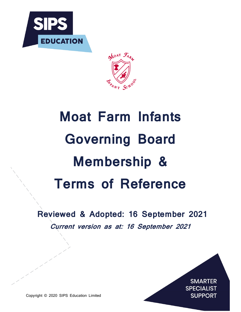



# Moat Farm Infants Governing Board Membership & Terms of Reference

Reviewed & Adopted: 16 September 2021 Current version as at: 16 September 2021



Copyright © 2020 SIPS Education Limited

 $\overline{\phantom{a}}$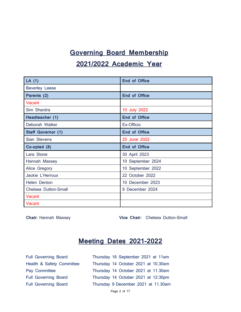# Governing Board Membership 2021/2022 Academic Year

| LA $(1)$                  | <b>End of Office</b> |  |
|---------------------------|----------------------|--|
| <b>Beverley Leese</b>     |                      |  |
| Parents (2)               | <b>End of Office</b> |  |
| Vacant                    |                      |  |
| Sim Shardra               | 10 July 2022         |  |
| Headteacher (1)           | <b>End of Office</b> |  |
| Deborah Walker            | Ex-Officio           |  |
| <b>Staff Governor (1)</b> | <b>End of Office</b> |  |
| Sian Stevens              | 25 June 2022         |  |
|                           |                      |  |
| Co-opted (8)              | <b>End of Office</b> |  |
| Lara Stone                | 30 April 2023        |  |
| Hannah Massey             | 10 September 2024    |  |
| Alice Gregory             | 10 September 2022    |  |
| Jackie L'Herroux          | 22 October 2022      |  |
| Helen Denton              | 10 December 2023     |  |
| Chelsea Dutton-Small      | 9 December 2024      |  |
| Vacant                    |                      |  |

Chair: Hannah Massey **Vice Chair:** Chelsea Dutton-Small

### Meeting Dates 2021-2022

| <b>Full Governing Board</b> | Thursday 16 September 2021 at 11am  |
|-----------------------------|-------------------------------------|
| Health & Safety Committee   | Thursday 14 October 2021 at 10.30am |
| Pay Committee               | Thursday 14 October 2021 at 11.30am |
| <b>Full Governing Board</b> | Thursday 14 October 2021 at 12:30pm |
| <b>Full Governing Board</b> | Thursday 9 December 2021 at 11.30am |
|                             | Page 2 of 17                        |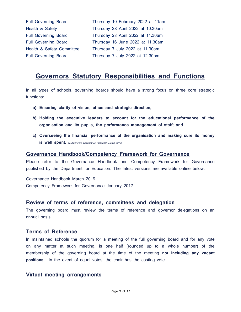| <b>Full Governing Board</b> | Thursday 10 February 2022 at 11am |
|-----------------------------|-----------------------------------|
| Health & Safety             | Thursday 28 April 2022 at 10.30am |
| <b>Full Governing Board</b> | Thursday 28 April 2022 at 11.30am |
| <b>Full Governing Board</b> | Thursday 16 June 2022 at 11.30am  |
| Health & Safety Committee   | Thursday 7 July 2022 at 11.30am   |
| <b>Full Governing Board</b> | Thursday 7 July 2022 at 12.30pm   |

### Governors Statutory Responsibilities and Functions

In all types of schools, governing boards should have a strong focus on three core strategic functions:

- a) Ensuring clarity of vision, ethos and strategic direction,
- b) Holding the executive leaders to account for the educational performance of the organisation and its pupils, the performance management of staff; and
- c) Overseeing the financial performance of the organisation and making sure its money is well spent. (Extract from Governance Handbook March 2019)

### Governance Handbook/Competency Framework for Governance

Please refer to the Governance Handbook and Competency Framework for Governance published by the Department for Education. The latest versions are available online below:

Governance Handbook March 2019 Competency Framework for Governance January 2017

### Review of terms of reference, committees and delegation

The governing board must review the terms of reference and governor delegations on an annual basis.

### Terms of Reference

In maintained schools the quorum for a meeting of the full governing board and for any vote on any matter at such meeting, is one half (rounded up to a whole number) of the membership of the governing board at the time of the meeting not including any vacant positions. In the event of equal votes, the chair has the casting vote.

### Virtual meeting arrangements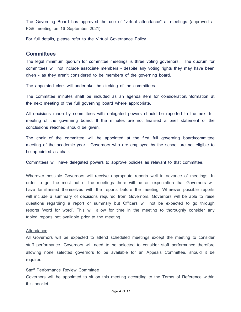The Governing Board has approved the use of "virtual attendance" at meetings (approved at FGB meeting on 16 September 2021).

For full details, please refer to the Virtual Governance Policy.

### **Committees**

The legal minimum quorum for committee meetings is three voting governors. The quorum for committees will not include associate members - despite any voting rights they may have been given - as they aren't considered to be members of the governing board.

The appointed clerk will undertake the clerking of the committees.

The committee minutes shall be included as an agenda item for consideration/information at the next meeting of the full governing board where appropriate.

All decisions made by committees with delegated powers should be reported to the next full meeting of the governing board. If the minutes are not finalised a brief statement of the conclusions reached should be given.

The chair of the committee will be appointed at the first full governing board/committee meeting of the academic year. Governors who are employed by the school are not eligible to be appointed as chair.

Committees will have delegated powers to approve policies as relevant to that committee.

Wherever possible Governors will receive appropriate reports well in advance of meetings. In order to get the most out of the meetings there will be an expectation that Governors will have familiarised themselves with the reports before the meeting. Wherever possible reports will include a summary of decisions required from Governors. Governors will be able to raise questions regarding a report or summary but Officers will not be expected to go through reports 'word for word'. This will allow for time in the meeting to thoroughly consider any tabled reports not available prior to the meeting.

#### **Attendance**

All Governors will be expected to attend scheduled meetings except the meeting to consider staff performance. Governors will need to be selected to consider staff performance therefore allowing none selected governors to be available for an Appeals Committee, should it be required.

#### Staff Performance Review Committee

Governors will be appointed to sit on this meeting according to the Terms of Reference within this booklet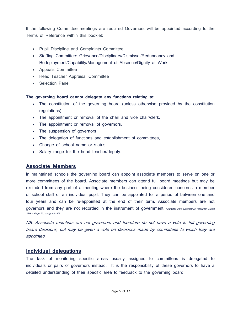If the following Committee meetings are required Governors will be appointed according to the Terms of Reference within this booklet:

- Pupil Discipline and Complaints Committee
- Staffing Committee: Grievance/Disciplinary/Dismissal/Redundancy and Redeployment/Capability/Management of Absence/Dignity at Work
- Appeals Committee
- Head Teacher Appraisal Committee
- Selection Panel

#### The governing board cannot delegate any functions relating to:

- The constitution of the governing board (unless otherwise provided by the constitution regulations),
- The appointment or removal of the chair and vice chair/clerk,
- The appointment or removal of governors,
- The suspension of governors,
- The delegation of functions and establishment of committees,
- Change of school name or status,
- Salary range for the head teacher/deputy.

### Associate Members

In maintained schools the governing board can appoint associate members to serve on one or more committees of the board. Associate members can attend full board meetings but may be excluded from any part of a meeting where the business being considered concerns a member of school staff or an individual pupil. They can be appointed for a period of between one and four years and can be re-appointed at the end of their term. Associate members are not governors and they are not recorded in the instrument of government (Extracted from Governance Handbook March 2019 – Page 53, paragraph 45).

NB: Associate members are not governors and therefore do not have a vote in full governing board decisions, but may be given a vote on decisions made by committees to which they are appointed.

### Individual delegations

The task of monitoring specific areas usually assigned to committees is delegated to individuals or pairs of governors instead. It is the responsibility of these governors to have a detailed understanding of their specific area to feedback to the governing board.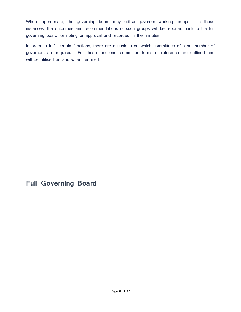Where appropriate, the governing board may utilise governor working groups. In these instances, the outcomes and recommendations of such groups will be reported back to the full governing board for noting or approval and recorded in the minutes.

In order to fulfil certain functions, there are occasions on which committees of a set number of governors are required. For these functions, committee terms of reference are outlined and will be utilised as and when required.

### Full Governing Board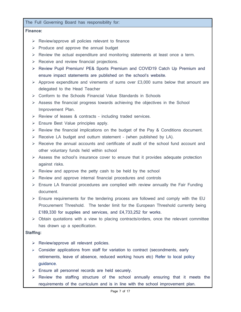The Full Governing Board has responsibility for:

#### Finance:

- $\triangleright$  Review/approve all policies relevant to finance
- $\triangleright$  Produce and approve the annual budget
- $\triangleright$  Review the actual expenditure and monitoring statements at least once a term.
- $\triangleright$  Receive and review financial projections.
- ▶ Review Pupil Premium/ PE& Sports Premium and COVID19 Catch Up Premium and ensure impact statements are published on the school's website.
- $\triangleright$  Approve expenditure and virements of sums over £3,000 sums below that amount are delegated to the Head Teacher
- $\triangleright$  Conform to the Schools Financial Value Standards in Schools
- $\triangleright$  Assess the financial progress towards achieving the objectives in the School Improvement Plan.
- $\triangleright$  Review of leases & contracts including traded services.
- $\triangleright$  Ensure Best Value principles apply.
- $\triangleright$  Review the financial implications on the budget of the Pay & Conditions document.
- $\triangleright$  Receive LA budget and outturn statement (when published by LA).
- $\triangleright$  Receive the annual accounts and certificate of audit of the school fund account and other voluntary funds held within school
- $\triangleright$  Assess the school's insurance cover to ensure that it provides adequate protection against risks.
- $\triangleright$  Review and approve the petty cash to be held by the school
- $\triangleright$  Review and approve internal financial procedures and controls
- $\triangleright$  Ensure LA financial procedures are complied with review annually the Fair Funding document.
- $\triangleright$  Ensure requirements for the tendering process are followed and comply with the EU Procurement Threshold. The tender limit for the European Threshold currently being £189,330 for supplies and services, and £4,733,252 for works.
- $\triangleright$  Obtain quotations with a view to placing contracts/orders, once the relevant committee has drawn up a specification.

### Staffing:

- $\triangleright$  Review/approve all relevant policies.
- $\triangleright$  Consider applications from staff for variation to contract (secondments, early retirements, leave of absence, reduced working hours etc) Refer to local policy guidance.
- $\triangleright$  Ensure all personnel records are held securely.
- $\triangleright$  Review the staffing structure of the school annually ensuring that it meets the requirements of the curriculum and is in line with the school improvement plan.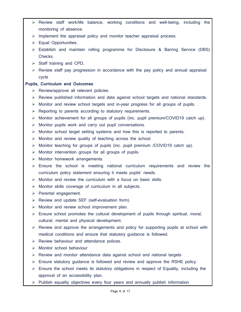- $\triangleright$  Review staff work/life balance, working conditions and well-being, including the monitoring of absence.
- $\triangleright$  Implement the appraisal policy and monitor teacher appraisal process.
- Equal Opportunities.
- Establish and maintain rolling programme for Disclosure & Barring Service (DBS) Checks.
- $\triangleright$  Staff training and CPD.
- $\triangleright$  Review staff pay progression in accordance with the pay policy and annual appraisal cycle

### Pupils, Curriculum and Outcomes

- $\triangleright$  Review/approve all relevant policies.
- $\triangleright$  Review published information and data against school targets and national standards.
- $\triangleright$  Monitor and review school targets and in-year progress for all groups of pupils.
- $\triangleright$  Reporting to parents according to statutory requirements.
- $\triangleright$  Monitor achievement for all groups of pupils (inc. pupil premium/COVID19 catch up).
- $\triangleright$  Monitor pupils work and carry out pupil conversations.
- $\triangleright$  Monitor school target setting systems and how this is reported to parents.
- $\triangleright$  Monitor and review quality of teaching across the school.
- $\triangleright$  Monitor teaching for groups of pupils (inc. pupil premium /COVID19 catch up).
- $\triangleright$  Monitor intervention groups for all groups of pupils.
- $\triangleright$  Monitor homework arrangements.
- $\triangleright$  Ensure the school is meeting national curriculum requirements and review the curriculum policy statement ensuring it meets pupils' needs.
- $\triangleright$  Monitor and review the curriculum with a focus on basic skills.
- $\triangleright$  Monitor skills coverage of curriculum in all subjects.
- $\triangleright$  Parental engagement.
- $\triangleright$  Review and update SEF (self-evaluation form).
- $\triangleright$  Monitor and review school improvement plan.
- $\triangleright$  Ensure school promotes the cultural development of pupils through spiritual, moral, cultural, mental and physical development.
- $\triangleright$  Review and approve the arrangements and policy for supporting pupils at school with medical conditions and ensure that statutory guidance is followed.
- $\triangleright$  Review behaviour and attendance polices.
- $\triangleright$  Monitor school behaviour
- $\triangleright$  Review and monitor attendance data against school and national targets
- $\triangleright$  Ensure statutory guidance is followed and review and approve the RSHE policy.
- $\triangleright$  Ensure the school meets its statutory obligations in respect of Equality, including the approval of an accessibility plan.
- $\triangleright$  Publish equality objectives every four years and annually publish information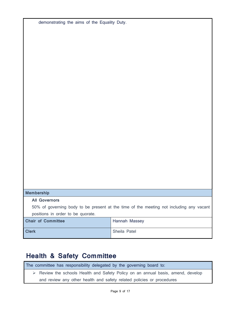| demonstrating the aims of the Equality Duty.                                            |               |
|-----------------------------------------------------------------------------------------|---------------|
|                                                                                         |               |
|                                                                                         |               |
|                                                                                         |               |
|                                                                                         |               |
|                                                                                         |               |
|                                                                                         |               |
|                                                                                         |               |
|                                                                                         |               |
|                                                                                         |               |
|                                                                                         |               |
|                                                                                         |               |
|                                                                                         |               |
|                                                                                         |               |
|                                                                                         |               |
|                                                                                         |               |
|                                                                                         |               |
|                                                                                         |               |
|                                                                                         |               |
|                                                                                         |               |
|                                                                                         |               |
|                                                                                         |               |
|                                                                                         |               |
|                                                                                         |               |
|                                                                                         |               |
| <b>Membership</b>                                                                       |               |
| <b>All Governors</b>                                                                    |               |
| 50% of governing body to be present at the time of the meeting not including any vacant |               |
| positions in order to be quorate.                                                       |               |
| <b>Chair of Committee</b>                                                               | Hannah Massey |
| <b>Clerk</b>                                                                            | Sheila Patel  |

# Health & Safety Committee

| The committee has responsibility delegated by the governing board to:                           |  |  |
|-------------------------------------------------------------------------------------------------|--|--|
| $\triangleright$ Review the schools Health and Safety Policy on an annual basis, amend, develop |  |  |
| and review any other health and safety related policies or procedures                           |  |  |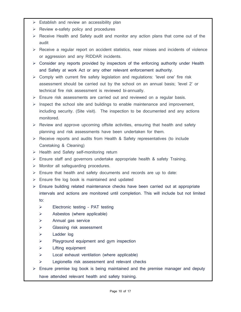- $\triangleright$  Establish and review an accessibility plan
- $\triangleright$  Review e-safety policy and procedures
- $\triangleright$  Receive Health and Safety audit and monitor any action plans that come out of the audit
- $\triangleright$  Receive a regular report on accident statistics, near misses and incidents of violence or aggression and any RIDDAR incidents.
- $\triangleright$  Consider any reports provided by inspectors of the enforcing authority under Health and Safety at work Act or any other relevant enforcement authority.
- $\triangleright$  Comply with current fire safety legislation and regulations: 'level one' fire risk assessment should be carried out by the school on an annual basis; 'level 2' or technical fire risk assessment is reviewed bi-annually.
- $\triangleright$  Ensure risk assessments are carried out and reviewed on a regular basis.
- $\triangleright$  Inspect the school site and buildings to enable maintenance and improvement, including security. (Site visit). The inspection to be documented and any actions monitored.
- $\triangleright$  Review and approve upcoming offsite activities, ensuring that health and safety planning and risk assessments have been undertaken for them.
- $\triangleright$  Receive reports and audits from Health & Safety representatives (to include Caretaking & Cleaning)
- $\triangleright$  Health and Safety self-monitoring return
- $\triangleright$  Ensure staff and governors undertake appropriate health & safety Training.
- $\triangleright$  Monitor all safeguarding procedures.
- $\triangleright$  Ensure that health and safety documents and records are up to date:
- $\triangleright$  Ensure fire log book is maintained and updated
- $\triangleright$  Ensure building related maintenance checks have been carried out at appropriate intervals and actions are monitored until completion. This will include but not limited to:
	- $\triangleright$  Electronic testing PAT testing
	- $\triangleright$  Asbestos (where applicable)
	- $\triangleright$  Annual gas service
	- $\triangleright$  Glassing risk assessment
	- Ladder log
	- $\triangleright$  Playground equipment and gym inspection
	- $\triangleright$  Lifting equipment
	- $\triangleright$  Local exhaust ventilation (where applicable)
	- $\triangleright$  Legionella risk assessment and relevant checks
- $\triangleright$  Ensure premise log book is being maintained and the premise manager and deputy have attended relevant health and safety training.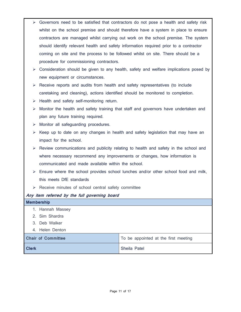- $\triangleright$  Governors need to be satisfied that contractors do not pose a health and safety risk whilst on the school premise and should therefore have a system in place to ensure contractors are managed whilst carrying out work on the school premise. The system should identify relevant health and safety information required prior to a contractor coming on site and the process to be followed whilst on site. There should be a procedure for commissioning contractors.
- $\triangleright$  Consideration should be given to any health, safety and welfare implications posed by new equipment or circumstances.
- $\triangleright$  Receive reports and audits from health and safety representatives (to include caretaking and cleaning), actions identified should be monitored to completion.
- $\triangleright$  Health and safety self-monitoring return.
- $\triangleright$  Monitor the health and safety training that staff and governors have undertaken and plan any future training required.
- $\triangleright$  Monitor all safeguarding procedures.
- $\triangleright$  Keep up to date on any changes in health and safety legislation that may have an impact for the school.
- $\triangleright$  Review communications and publicity relating to health and safety in the school and where necessary recommend any improvements or changes, how information is communicated and made available within the school.
- $\triangleright$  Ensure where the school provides school lunches and/or other school food and milk, this meets DfE standards
- $\triangleright$  Receive minutes of school central safety committee

### Any item referred by the full governing board

| <b>Membership</b>         |                                      |
|---------------------------|--------------------------------------|
| 1. Hannah Massey          |                                      |
| 2. Sim Shardra            |                                      |
| 3. Deb Walker             |                                      |
| 4. Helen Denton           |                                      |
| <b>Chair of Committee</b> | To be appointed at the first meeting |
| <b>Clerk</b>              | Sheila Patel                         |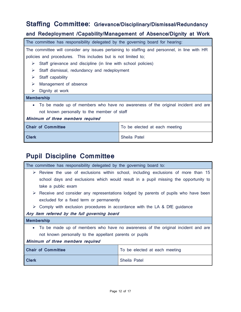### Staffing Committee: Grievance/Disciplinary/Dismissal/Redundancy

### and Redeployment /Capability/Management of Absence/Dignity at Work

| The committee has responsibility delegated by the governing board for hearing:               |                               |  |  |
|----------------------------------------------------------------------------------------------|-------------------------------|--|--|
| The committee will consider any issues pertaining to staffing and personnel, in line with HR |                               |  |  |
| policies and procedures. This includes but is not limited to;                                |                               |  |  |
| Staff grievance and discipline (in line with school policies)<br>➤                           |                               |  |  |
| ➤<br>Staff dismissal, redundancy and redeployment                                            |                               |  |  |
| Staff capability<br>➤                                                                        |                               |  |  |
| Management of absence<br>➤                                                                   |                               |  |  |
| Dignity at work<br>➤                                                                         |                               |  |  |
| <b>Membership</b>                                                                            |                               |  |  |
| To be made up of members who have no awareness of the original incident and are<br>$\bullet$ |                               |  |  |
| not known personally to the member of staff                                                  |                               |  |  |
| Minimum of three members required                                                            |                               |  |  |
| <b>Chair of Committee</b>                                                                    | To be elected at each meeting |  |  |
| <b>Clerk</b><br>Sheila Patel                                                                 |                               |  |  |

## Pupil Discipline Committee

| The committee has responsibility delegated by the governing board to:                               |  |  |
|-----------------------------------------------------------------------------------------------------|--|--|
| $\triangleright$ Review the use of exclusions within school, including exclusions of more than 15   |  |  |
| school days and exclusions which would result in a pupil missing the opportunity to                 |  |  |
| take a public exam                                                                                  |  |  |
| $\triangleright$ Receive and consider any representations lodged by parents of pupils who have been |  |  |
| excluded for a fixed term or permanently                                                            |  |  |
| $\triangleright$ Comply with exclusion procedures in accordance with the LA & DfE guidance          |  |  |
| Any item referred by the full governing board                                                       |  |  |
| <b>Membership</b>                                                                                   |  |  |
| To be made up of members who have no awareness of the original incident and are<br>$\bullet$        |  |  |
| not known personally to the appellant parents or pupils                                             |  |  |
| Minimum of three members required                                                                   |  |  |
| <b>Chair of Committee</b><br>To be elected at each meeting                                          |  |  |
| <b>Clerk</b><br>Sheila Patel                                                                        |  |  |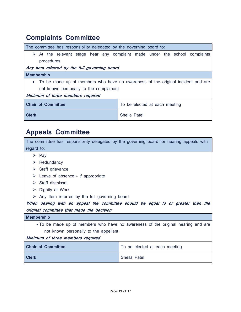# Complaints Committee

| The committee has responsibility delegated by the governing board to:             |                                                                                            |  |
|-----------------------------------------------------------------------------------|--------------------------------------------------------------------------------------------|--|
|                                                                                   | $\triangleright$ At the relevant stage hear any complaint made under the school complaints |  |
| procedures                                                                        |                                                                                            |  |
| Any item referred by the full governing board                                     |                                                                                            |  |
| <b>Membership</b>                                                                 |                                                                                            |  |
| • To be made up of members who have no awareness of the original incident and are |                                                                                            |  |
| not known personally to the complainant                                           |                                                                                            |  |
| Minimum of three members required                                                 |                                                                                            |  |
| <b>Chair of Committee</b><br>To be elected at each meeting                        |                                                                                            |  |
| <b>Clerk</b><br>Sheila Patel                                                      |                                                                                            |  |

# Appeals Committee

| The committee has responsibility delegated by the governing board for hearing appeals with |                                                                                  |  |
|--------------------------------------------------------------------------------------------|----------------------------------------------------------------------------------|--|
| regard to:                                                                                 |                                                                                  |  |
| $\triangleright$ Pay                                                                       |                                                                                  |  |
| Redundancy<br>➤                                                                            |                                                                                  |  |
| Staff grievance<br>➤                                                                       |                                                                                  |  |
| Leave of absence - if appropriate<br>➤                                                     |                                                                                  |  |
| Staff dismissal<br>➤                                                                       |                                                                                  |  |
| Dignity at Work<br>➤                                                                       |                                                                                  |  |
| Any Item referred by the full governing board<br>➤                                         |                                                                                  |  |
|                                                                                            | When dealing with an appeal the committee should be equal to or greater than the |  |
| original committee that made the decision                                                  |                                                                                  |  |
| <b>Membership</b>                                                                          |                                                                                  |  |
|                                                                                            | • To be made up of members who have no awareness of the original hearing and are |  |
| not known personally to the appellant                                                      |                                                                                  |  |
| Minimum of three members required                                                          |                                                                                  |  |
| <b>Chair of Committee</b>                                                                  | To be elected at each meeting                                                    |  |
| <b>Clerk</b>                                                                               | Sheila Patel                                                                     |  |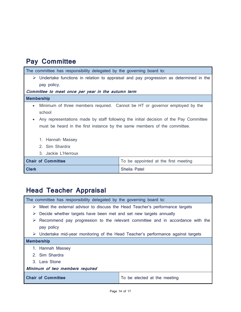### Pay Committee

| The committee has responsibility delegated by the governing board to:                                  |                                                                             |  |  |
|--------------------------------------------------------------------------------------------------------|-----------------------------------------------------------------------------|--|--|
| $\triangleright$ Undertake functions in relation to appraisal and pay progression as determined in the |                                                                             |  |  |
| pay policy.                                                                                            |                                                                             |  |  |
| Committee to meet once per year in the autumn term                                                     |                                                                             |  |  |
| <b>Membership</b>                                                                                      |                                                                             |  |  |
| $\bullet$                                                                                              | Minimum of three members required. Cannot be HT or governor employed by the |  |  |
| school                                                                                                 |                                                                             |  |  |
| Any representations made by staff following the initial decision of the Pay Committee                  |                                                                             |  |  |
| must be heard in the first instance by the same members of the committee.                              |                                                                             |  |  |
|                                                                                                        |                                                                             |  |  |
| 1. Hannah Massey                                                                                       |                                                                             |  |  |
| 2. Sim Shardra                                                                                         |                                                                             |  |  |
| 3. Jackie L'Herroux                                                                                    |                                                                             |  |  |
| <b>Chair of Committee</b>                                                                              | To be appointed at the first meeting                                        |  |  |
| <b>Clerk</b><br>Sheila Patel                                                                           |                                                                             |  |  |
|                                                                                                        |                                                                             |  |  |

### Head Teacher Appraisal

The committee has responsibility delegated by the governing board to:

- $\triangleright$  Meet the external advisor to discuss the Head Teacher's performance targets
- $\triangleright$  Decide whether targets have been met and set new targets annually
- $\triangleright$  Recommend pay progression to the relevant committee and in accordance with the pay policy
- Undertake mid-year monitoring of the Head Teacher's performance against targets

### Membership

- 1. Hannah Massey
- 2. Sim Shardra
- 3. Lara Stone

### Minimum of two members required

Chair of Committee To be elected at the meeting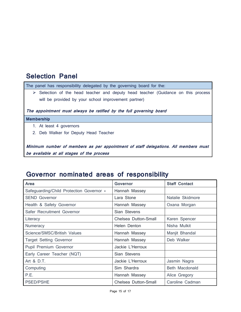### Selection Panel

The panel has responsibility delegated by the governing board for the:

 $\triangleright$  Selection of the head teacher and deputy head teacher (Guidance on this process will be provided by your school improvement partner)

The appointment must always be ratified by the full governing board

#### Membership

- 1. At least 4 governors
- 2. Deb Walker for Deputy Head Teacher

Minimum number of members as per appointment of staff delegations. All members must be available at all stages of the process

### Governor nominated areas of responsibility

| Area                                     | <b>Governor</b>      | <b>Staff Contact</b> |
|------------------------------------------|----------------------|----------------------|
| Safeguarding/Child Protection Governor * | Hannah Massey        |                      |
| <b>SEND Governor</b>                     | Lara Stone           | Natalie Skidmore     |
| Health & Safety Governor                 | Hannah Massey        | Oxana Morgan         |
| Safer Recruitment Governor               | Sian Stevens         |                      |
| Literacy                                 | Chelsea Dutton-Small | Karen Spencer        |
| Numeracy                                 | Helen Denton         | Nisha Mulkit         |
| Science/SMSC/British Values              | Hannah Massey        | Manjit Bhandal       |
| <b>Target Setting Governor</b>           | Hannah Massey        | Deb Walker           |
| Pupil Premium Governor                   | Jackie L'Herroux     |                      |
| Early Career Teacher (NQT)               | Sian Stevens         |                      |
| Art & D.T.                               | Jackie L'Herroux     | Jasmin Nagra         |
| Computing                                | Sim Shardra          | Beth Macdonald       |
| P.E.                                     | Hannah Massey        | Alice Gregory        |
| <b>PSED/PSHE</b>                         | Chelsea Dutton-Small | Caroline Cadman      |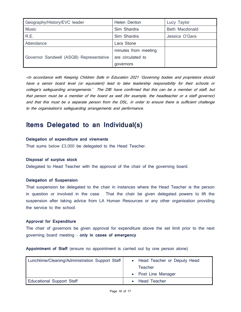| Geography/History/EVC leader            | Helen Denton         | Lucy Taylor           |
|-----------------------------------------|----------------------|-----------------------|
| <b>Music</b>                            | Sim Shardra          | <b>Beth Macdonald</b> |
| R.E.                                    | Sim Shardra          | Jessica O'Gara        |
| Attendance                              | Lara Stone           |                       |
| Governor Sandwell (ASGB) Representative | minutes from meeting |                       |
|                                         | are circulated to    |                       |
|                                         | governors            |                       |

\*In accordance with Keeping Children Safe in Education 2021 'Governing bodies and proprietors should have a senior board level (or equivalent) lead to take leadership responsibility for their schools or college's safeguarding arrangements.' The DfE have confirmed that this can be a member of staff, but that person must be a member of the board as well (for example, the headteacher or a staff governor) and that this must be a separate person from the DSL, in order to ensure there is sufficient challenge to the organisation's safeguarding arrangements and performance.

### Items Delegated to an Individual(s)

#### Delegation of expenditure and virements

That sums below £3,000 be delegated to the Head Teacher.

#### Disposal of surplus stock

Delegated to Head Teacher with the approval of the chair of the governing board.

#### Delegation of Suspension

That suspension be delegated to the chair in instances where the Head Teacher is the person in question or involved in the case. That the chair be given delegated powers to lift the suspension after taking advice from LA Human Resources or any other organisation providing the service to the school.

#### Approval for Expenditure

The chair of governors be given approval for expenditure above the set limit prior to the next governing board meeting – only in cases of emergency

Appointment of Staff (ensure no appointment is carried out by one person alone)

| Lunchtime/Cleaning/Administration Support Staff | • Head Teacher or Deputy Head |
|-------------------------------------------------|-------------------------------|
|                                                 | Teacher                       |
|                                                 | • Post Line Manager           |
| <b>Educational Support Staff</b>                | • Head Teacher                |